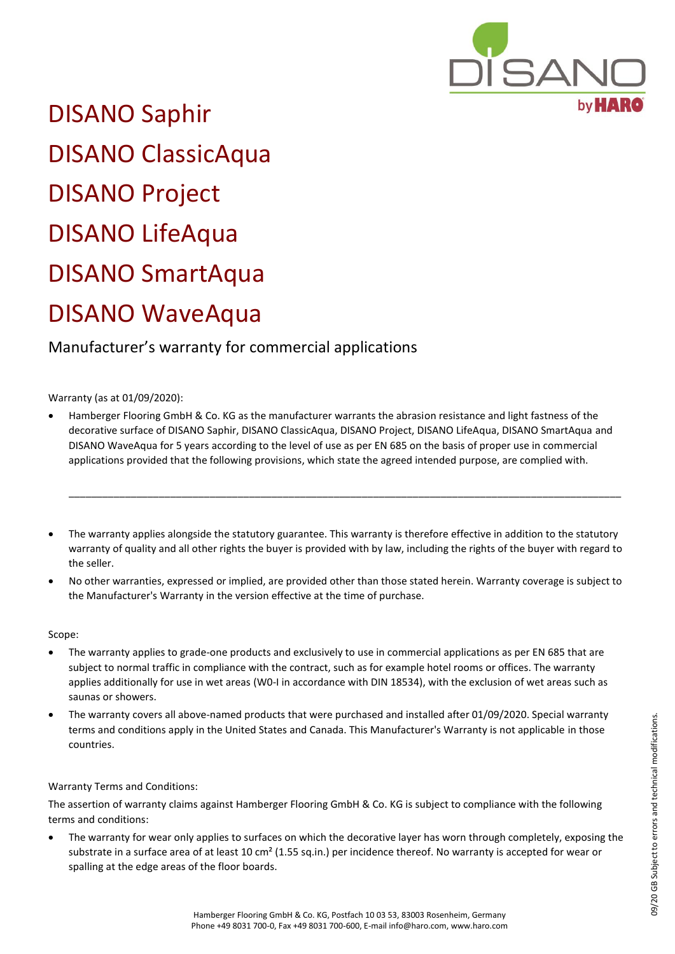

DISANO Saphir DISANO ClassicAqua DISANO Project DISANO LifeAqua DISANO SmartAqua DISANO WaveAqua

## Manufacturer's warranty for commercial applications

## Warranty (as at 01/09/2020):

- Hamberger Flooring GmbH & Co. KG as the manufacturer warrants the abrasion resistance and light fastness of the decorative surface of DISANO Saphir, DISANO ClassicAqua, DISANO Project, DISANO LifeAqua, DISANO SmartAqua and DISANO WaveAqua for 5 years according to the level of use as per EN 685 on the basis of proper use in commercial applications provided that the following provisions, which state the agreed intended purpose, are complied with.
- The warranty applies alongside the statutory guarantee. This warranty is therefore effective in addition to the statutory warranty of quality and all other rights the buyer is provided with by law, including the rights of the buyer with regard to the seller.

\_\_\_\_\_\_\_\_\_\_\_\_\_\_\_\_\_\_\_\_\_\_\_\_\_\_\_\_\_\_\_\_\_\_\_\_\_\_\_\_\_\_\_\_\_\_\_\_\_\_\_\_\_\_\_\_\_\_\_\_\_\_\_\_\_\_\_\_\_\_\_\_\_\_\_\_\_\_\_\_\_\_\_\_\_\_\_\_\_\_\_\_\_\_\_\_\_\_

• No other warranties, expressed or implied, are provided other than those stated herein. Warranty coverage is subject to the Manufacturer's Warranty in the version effective at the time of purchase.

Scope:

- The warranty applies to grade-one products and exclusively to use in commercial applications as per EN 685 that are subject to normal traffic in compliance with the contract, such as for example hotel rooms or offices. The warranty applies additionally for use in wet areas (W0-I in accordance with DIN 18534), with the exclusion of wet areas such as saunas or showers.
- The warranty covers all above-named products that were purchased and installed after 01/09/2020. Special warranty terms and conditions apply in the United States and Canada. This Manufacturer's Warranty is not applicable in those countries.

## Warranty Terms and Conditions:

The assertion of warranty claims against Hamberger Flooring GmbH & Co. KG is subject to compliance with the following terms and conditions:

The warranty for wear only applies to surfaces on which the decorative layer has worn through completely, exposing the substrate in a surface area of at least 10 cm<sup>2</sup> (1.55 sq.in.) per incidence thereof. No warranty is accepted for wear or spalling at the edge areas of the floor boards.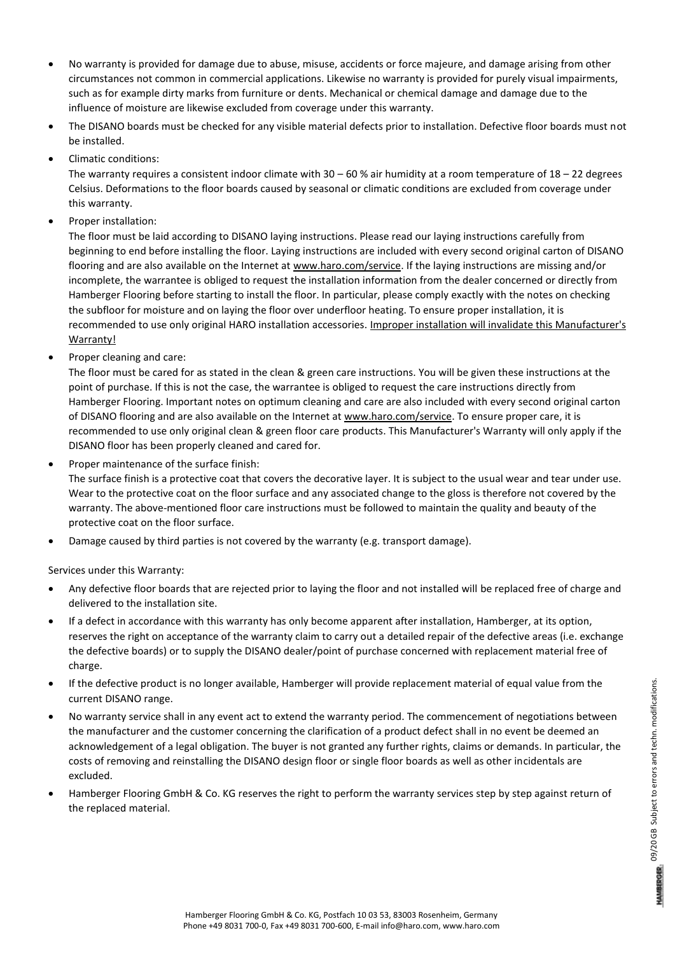- No warranty is provided for damage due to abuse, misuse, accidents or force majeure, and damage arising from other circumstances not common in commercial applications. Likewise no warranty is provided for purely visual impairments, such as for example dirty marks from furniture or dents. Mechanical or chemical damage and damage due to the influence of moisture are likewise excluded from coverage under this warranty.
- The DISANO boards must be checked for any visible material defects prior to installation. Defective floor boards must not be installed.
- Climatic conditions:

The warranty requires a consistent indoor climate with  $30 - 60$  % air humidity at a room temperature of  $18 - 22$  degrees Celsius. Deformations to the floor boards caused by seasonal or climatic conditions are excluded from coverage under this warranty.

• Proper installation:

The floor must be laid according to DISANO laying instructions. Please read our laying instructions carefully from beginning to end before installing the floor. Laying instructions are included with every second original carton of DISANO flooring and are also available on the Internet a[t www.haro.com/service.](http://www.haro.com/service) If the laying instructions are missing and/or incomplete, the warrantee is obliged to request the installation information from the dealer concerned or directly from Hamberger Flooring before starting to install the floor. In particular, please comply exactly with the notes on checking the subfloor for moisture and on laying the floor over underfloor heating. To ensure proper installation, it is recommended to use only original HARO installation accessories. Improper installation will invalidate this Manufacturer's Warranty!

• Proper cleaning and care:

The floor must be cared for as stated in the clean & green care instructions. You will be given these instructions at the point of purchase. If this is not the case, the warrantee is obliged to request the care instructions directly from Hamberger Flooring. Important notes on optimum cleaning and care are also included with every second original carton of DISANO flooring and are also available on the Internet a[t www.haro.com/service.](http://www.haro.com/service) To ensure proper care, it is recommended to use only original clean & green floor care products. This Manufacturer's Warranty will only apply if the DISANO floor has been properly cleaned and cared for.

• Proper maintenance of the surface finish:

The surface finish is a protective coat that covers the decorative layer. It is subject to the usual wear and tear under use. Wear to the protective coat on the floor surface and any associated change to the gloss is therefore not covered by the warranty. The above-mentioned floor care instructions must be followed to maintain the quality and beauty of the protective coat on the floor surface.

• Damage caused by third parties is not covered by the warranty (e.g. transport damage).

Services under this Warranty:

- Any defective floor boards that are rejected prior to laying the floor and not installed will be replaced free of charge and delivered to the installation site.
- If a defect in accordance with this warranty has only become apparent after installation, Hamberger, at its option, reserves the right on acceptance of the warranty claim to carry out a detailed repair of the defective areas (i.e. exchange the defective boards) or to supply the DISANO dealer/point of purchase concerned with replacement material free of charge.
- If the defective product is no longer available, Hamberger will provide replacement material of equal value from the current DISANO range.
- No warranty service shall in any event act to extend the warranty period. The commencement of negotiations between the manufacturer and the customer concerning the clarification of a product defect shall in no event be deemed an acknowledgement of a legal obligation. The buyer is not granted any further rights, claims or demands. In particular, the costs of removing and reinstalling the DISANO design floor or single floor boards as well as other incidentals are excluded.
- Hamberger Flooring GmbH & Co. KG reserves the right to perform the warranty services step by step against return of the replaced material.